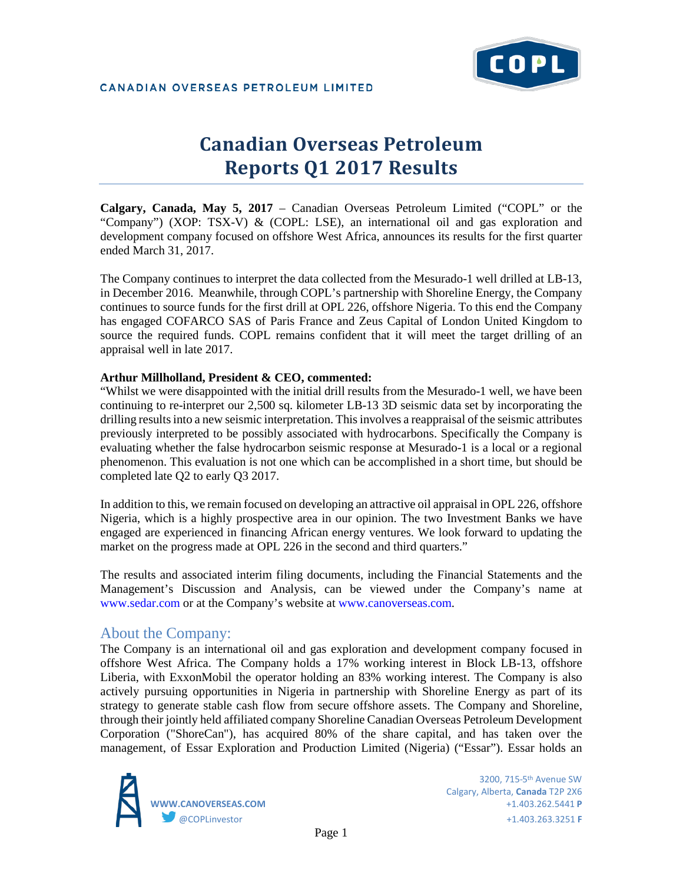

# **Canadian Overseas Petroleum Reports Q1 2017 Results**

**Calgary, Canada, May 5, 2017** – Canadian Overseas Petroleum Limited ("COPL" or the "Company") (XOP: TSX-V) & (COPL: LSE), an international oil and gas exploration and development company focused on offshore West Africa, announces its results for the first quarter ended March 31, 2017.

The Company continues to interpret the data collected from the Mesurado-1 well drilled at LB-13, in December 2016. Meanwhile, through COPL's partnership with Shoreline Energy, the Company continues to source funds for the first drill at OPL 226, offshore Nigeria. To this end the Company has engaged COFARCO SAS of Paris France and Zeus Capital of London United Kingdom to source the required funds. COPL remains confident that it will meet the target drilling of an appraisal well in late 2017.

## **Arthur Millholland, President & CEO, commented:**

"Whilst we were disappointed with the initial drill results from the Mesurado-1 well, we have been continuing to re-interpret our 2,500 sq. kilometer LB-13 3D seismic data set by incorporating the drilling results into a new seismic interpretation. This involves a reappraisal of the seismic attributes previously interpreted to be possibly associated with hydrocarbons. Specifically the Company is evaluating whether the false hydrocarbon seismic response at Mesurado-1 is a local or a regional phenomenon. This evaluation is not one which can be accomplished in a short time, but should be completed late Q2 to early Q3 2017.

In addition to this, we remain focused on developing an attractive oil appraisal in OPL 226, offshore Nigeria, which is a highly prospective area in our opinion. The two Investment Banks we have engaged are experienced in financing African energy ventures. We look forward to updating the market on the progress made at OPL 226 in the second and third quarters."

The results and associated interim filing documents, including the Financial Statements and the Management's Discussion and Analysis, can be viewed under the Company's name at www.sedar.com or at the Company's website at www.canoverseas.com.

## About the Company:

The Company is an international oil and gas exploration and development company focused in offshore West Africa. The Company holds a 17% working interest in Block LB-13, offshore Liberia, with ExxonMobil the operator holding an 83% working interest. The Company is also actively pursuing opportunities in Nigeria in partnership with Shoreline Energy as part of its strategy to generate stable cash flow from secure offshore assets. The Company and Shoreline, through their jointly held affiliated company Shoreline Canadian Overseas Petroleum Development Corporation ("ShoreCan"), has acquired 80% of the share capital, and has taken over the management, of Essar Exploration and Production Limited (Nigeria) ("Essar"). Essar holds an



 3200, 715-5th Avenue SW Calgary, Alberta, **Canada** T2P 2X6 **WWW.CANOVERSEAS.COM** +1.403.262.5441 **P**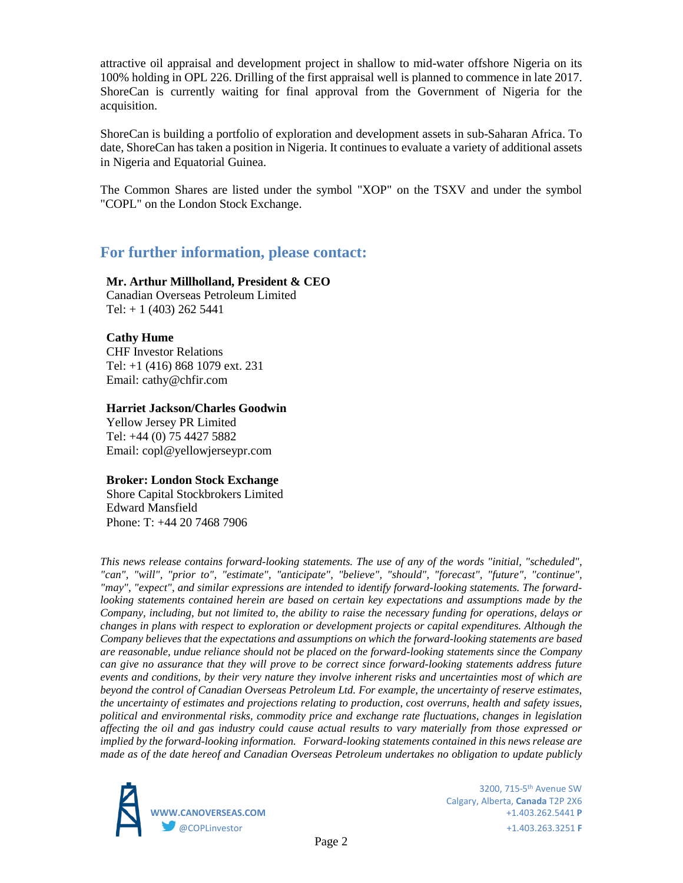attractive oil appraisal and development project in shallow to mid-water offshore Nigeria on its 100% holding in OPL 226. Drilling of the first appraisal well is planned to commence in late 2017. ShoreCan is currently waiting for final approval from the Government of Nigeria for the acquisition.

ShoreCan is building a portfolio of exploration and development assets in sub-Saharan Africa. To date, ShoreCan has taken a position in Nigeria. It continues to evaluate a variety of additional assets in Nigeria and Equatorial Guinea.

The Common Shares are listed under the symbol "XOP" on the TSXV and under the symbol "COPL" on the London Stock Exchange.

# **For further information, please contact:**

## **Mr. Arthur Millholland, President & CEO**

Canadian Overseas Petroleum Limited Tel:  $+ 1 (403) 262 5441$ 

## **Cathy Hume**

CHF Investor Relations Tel: +1 (416) 868 1079 ext. 231 Email: cathy@chfir.com

#### **Harriet Jackson/Charles Goodwin**

Yellow Jersey PR Limited Tel: +44 (0) 75 4427 5882 Email: copl@yellowjerseypr.com

#### **Broker: London Stock Exchange**

Shore Capital Stockbrokers Limited Edward Mansfield Phone: T: +44 20 7468 7906

*This news release contains forward-looking statements. The use of any of the words "initial, "scheduled", "can", "will", "prior to", "estimate", "anticipate", "believe", "should", "forecast", "future", "continue", "may", "expect", and similar expressions are intended to identify forward-looking statements. The forwardlooking statements contained herein are based on certain key expectations and assumptions made by the Company, including, but not limited to, the ability to raise the necessary funding for operations, delays or changes in plans with respect to exploration or development projects or capital expenditures. Although the Company believes that the expectations and assumptions on which the forward-looking statements are based are reasonable, undue reliance should not be placed on the forward-looking statements since the Company can give no assurance that they will prove to be correct since forward-looking statements address future events and conditions, by their very nature they involve inherent risks and uncertainties most of which are beyond the control of Canadian Overseas Petroleum Ltd. For example, the uncertainty of reserve estimates, the uncertainty of estimates and projections relating to production, cost overruns, health and safety issues, political and environmental risks, commodity price and exchange rate fluctuations, changes in legislation affecting the oil and gas industry could cause actual results to vary materially from those expressed or implied by the forward-looking information. Forward-looking statements contained in this news release are made as of the date hereof and Canadian Overseas Petroleum undertakes no obligation to update publicly* 



 3200, 715-5th Avenue SW Calgary, Alberta, **Canada** T2P 2X6 **WWW.CANOVERSEAS.COM** +1.403.262.5441 **P** @COPLinvestor +1.403.263.3251 **F**